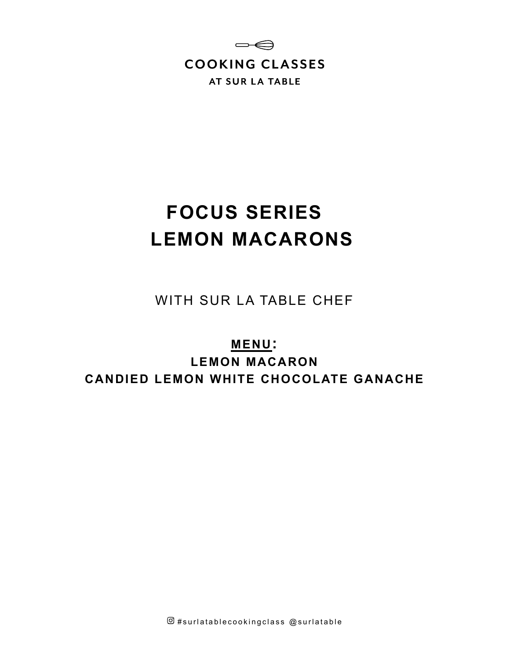

# **FOCUS SERIES LEMON MACARONS**

WITH SUR LA TABLE CHEF

**MENU: LEMON MACARON CANDIED LEMON WHITE CHOCOLATE GANACHE**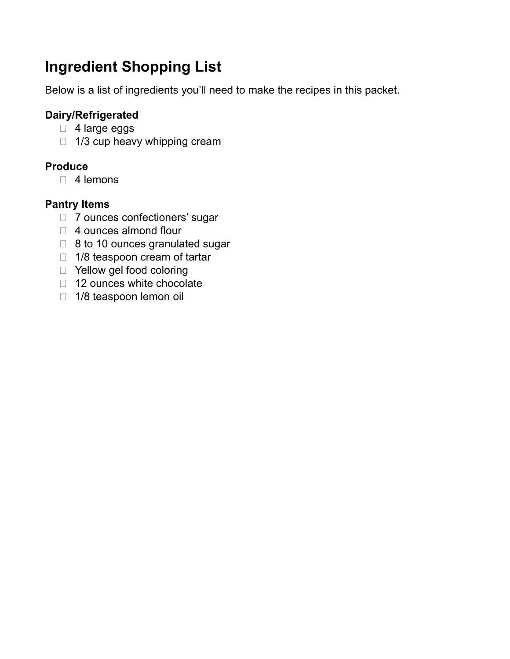# **Ingredient Shopping List**

Below is a list of ingredients you'll need to make the recipes in this packet.

# **Dairy/Refrigerated**

- □ 4 large eggs
- $\Box$  1/3 cup heavy whipping cream

# **Produce**

 $\Box$  4 lemons

# **Pantry Items**

- □ 7 ounces confectioners' sugar
- □ 4 ounces almond flour
- □ 8 to 10 ounces granulated sugar
- □ 1/8 teaspoon cream of tartar
- □ Yellow gel food coloring
- □ 12 ounces white chocolate
- □ 1/8 teaspoon lemon oil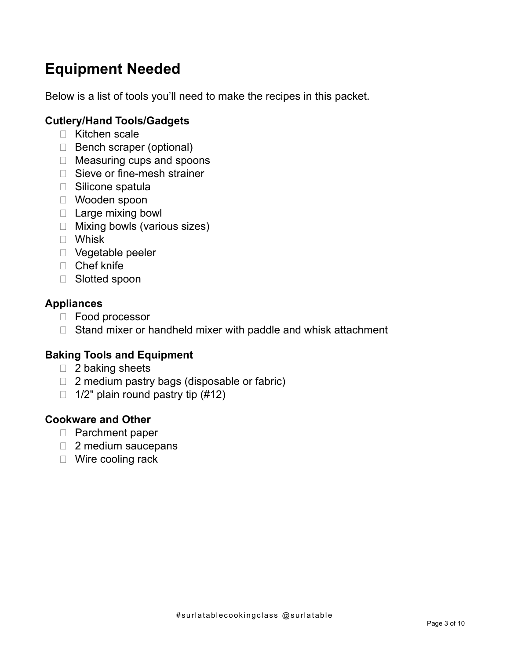# **Equipment Needed**

Below is a list of tools you'll need to make the recipes in this packet.

# **Cutlery/Hand Tools/Gadgets**

- □ Kitchen scale
- $\Box$  Bench scraper (optional)
- □ Measuring cups and spoons
- □ Sieve or fine-mesh strainer
- □ Silicone spatula
- Wooden spoon
- $\Box$  Large mixing bowl
- □ Mixing bowls (various sizes)
- Whisk
- □ Vegetable peeler
- Chef knife
- □ Slotted spoon

# **Appliances**

- □ Food processor
- $\Box$  Stand mixer or handheld mixer with paddle and whisk attachment

# **Baking Tools and Equipment**

- $\Box$  2 baking sheets
- $\Box$  2 medium pastry bags (disposable or fabric)
- $\Box$  1/2" plain round pastry tip (#12)

# **Cookware and Other**

- □ Parchment paper
- □ 2 medium saucepans
- □ Wire cooling rack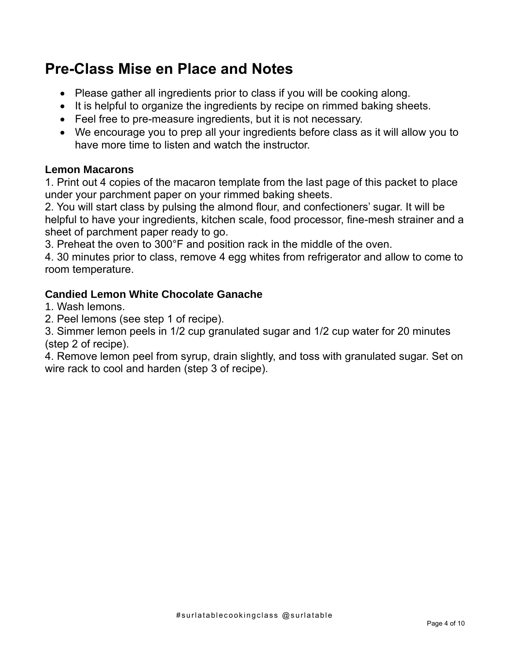# **Pre-Class Mise en Place and Notes**

- Please gather all ingredients prior to class if you will be cooking along.
- It is helpful to organize the ingredients by recipe on rimmed baking sheets.
- Feel free to pre-measure ingredients, but it is not necessary.
- We encourage you to prep all your ingredients before class as it will allow you to have more time to listen and watch the instructor.

### **Lemon Macarons**

1. Print out 4 copies of the macaron template from the last page of this packet to place under your parchment paper on your rimmed baking sheets.

2. You will start class by pulsing the almond flour, and confectioners' sugar. It will be helpful to have your ingredients, kitchen scale, food processor, fine-mesh strainer and a sheet of parchment paper ready to go.

3. Preheat the oven to 300°F and position rack in the middle of the oven.

4. 30 minutes prior to class, remove 4 egg whites from refrigerator and allow to come to room temperature.

### **Candied Lemon White Chocolate Ganache**

1. Wash lemons.

2. Peel lemons (see step 1 of recipe).

3. Simmer lemon peels in 1/2 cup granulated sugar and 1/2 cup water for 20 minutes (step 2 of recipe).

4. Remove lemon peel from syrup, drain slightly, and toss with granulated sugar. Set on wire rack to cool and harden (step 3 of recipe).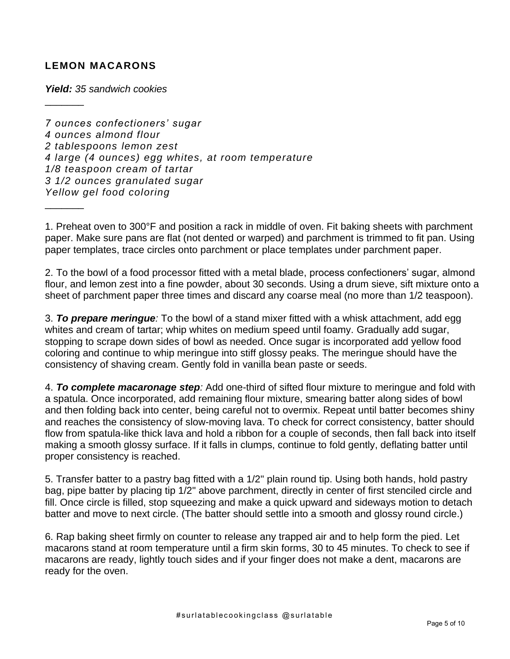#### **LEMON MACARONS**

 $\frac{1}{2}$ 

 $\frac{1}{2}$ 

*Yield: 35 sandwich cookies*

*7 ounces confectioners' sugar 4 ounces almond flour 2 tablespoons lemon zest 4 large (4 ounces) egg whites, at room temperature 1/8 teaspoon cream of tartar 3 1/2 ounces granulated sugar Yellow gel food coloring*

1. Preheat oven to 300°F and position a rack in middle of oven. Fit baking sheets with parchment paper. Make sure pans are flat (not dented or warped) and parchment is trimmed to fit pan. Using paper templates, trace circles onto parchment or place templates under parchment paper.

2. To the bowl of a food processor fitted with a metal blade, process confectioners' sugar, almond flour, and lemon zest into a fine powder, about 30 seconds. Using a drum sieve, sift mixture onto a sheet of parchment paper three times and discard any coarse meal (no more than 1/2 teaspoon).

3. *To prepare meringue:* To the bowl of a stand mixer fitted with a whisk attachment, add egg whites and cream of tartar; whip whites on medium speed until foamy. Gradually add sugar, stopping to scrape down sides of bowl as needed. Once sugar is incorporated add yellow food coloring and continue to whip meringue into stiff glossy peaks. The meringue should have the consistency of shaving cream. Gently fold in vanilla bean paste or seeds.

4. *To complete macaronage step:* Add one-third of sifted flour mixture to meringue and fold with a spatula. Once incorporated, add remaining flour mixture, smearing batter along sides of bowl and then folding back into center, being careful not to overmix. Repeat until batter becomes shiny and reaches the consistency of slow-moving lava. To check for correct consistency, batter should flow from spatula-like thick lava and hold a ribbon for a couple of seconds, then fall back into itself making a smooth glossy surface. If it falls in clumps, continue to fold gently, deflating batter until proper consistency is reached.

5. Transfer batter to a pastry bag fitted with a 1/2" plain round tip. Using both hands, hold pastry bag, pipe batter by placing tip 1/2" above parchment, directly in center of first stenciled circle and fill. Once circle is filled, stop squeezing and make a quick upward and sideways motion to detach batter and move to next circle. (The batter should settle into a smooth and glossy round circle.)

6. Rap baking sheet firmly on counter to release any trapped air and to help form the pied. Let macarons stand at room temperature until a firm skin forms, 30 to 45 minutes. To check to see if macarons are ready, lightly touch sides and if your finger does not make a dent, macarons are ready for the oven.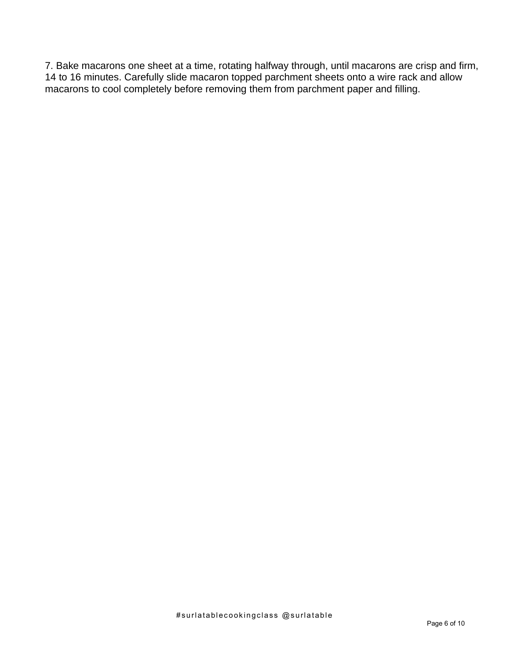7. Bake macarons one sheet at a time, rotating halfway through, until macarons are crisp and firm, 14 to 16 minutes. Carefully slide macaron topped parchment sheets onto a wire rack and allow macarons to cool completely before removing them from parchment paper and filling.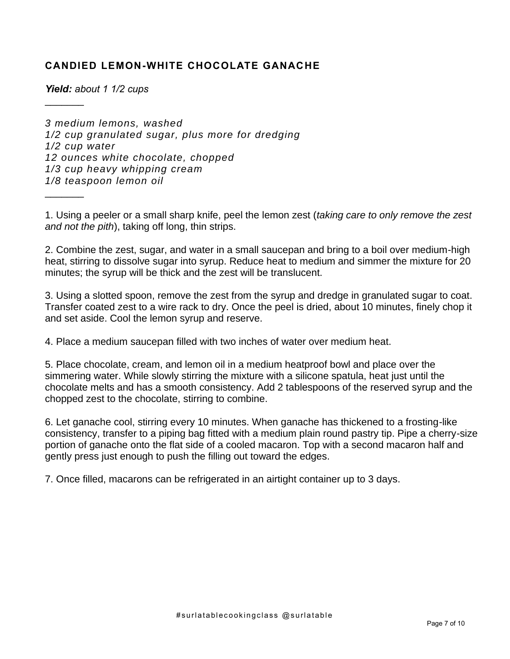### **CANDIED LEMON-WHITE CHOCOLATE GANACHE**

*Yield: about 1 1/2 cups*

 $\frac{1}{2}$ 

 $\frac{1}{2}$ 

*3 medium lemons, washed 1/2 cup granulated sugar, plus more for dredging 1/2 cup water 12 ounces white chocolate, chopped 1/3 cup heavy whipping cream 1/8 teaspoon lemon oil*

1. Using a peeler or a small sharp knife, peel the lemon zest (*taking care to only remove the zest and not the pith*), taking off long, thin strips.

2. Combine the zest, sugar, and water in a small saucepan and bring to a boil over medium-high heat, stirring to dissolve sugar into syrup. Reduce heat to medium and simmer the mixture for 20 minutes; the syrup will be thick and the zest will be translucent.

3. Using a slotted spoon, remove the zest from the syrup and dredge in granulated sugar to coat. Transfer coated zest to a wire rack to dry. Once the peel is dried, about 10 minutes, finely chop it and set aside. Cool the lemon syrup and reserve.

4. Place a medium saucepan filled with two inches of water over medium heat.

5. Place chocolate, cream, and lemon oil in a medium heatproof bowl and place over the simmering water. While slowly stirring the mixture with a silicone spatula, heat just until the chocolate melts and has a smooth consistency. Add 2 tablespoons of the reserved syrup and the chopped zest to the chocolate, stirring to combine.

6. Let ganache cool, stirring every 10 minutes. When ganache has thickened to a frosting-like consistency, transfer to a piping bag fitted with a medium plain round pastry tip. Pipe a cherry-size portion of ganache onto the flat side of a cooled macaron. Top with a second macaron half and gently press just enough to push the filling out toward the edges.

7. Once filled, macarons can be refrigerated in an airtight container up to 3 days.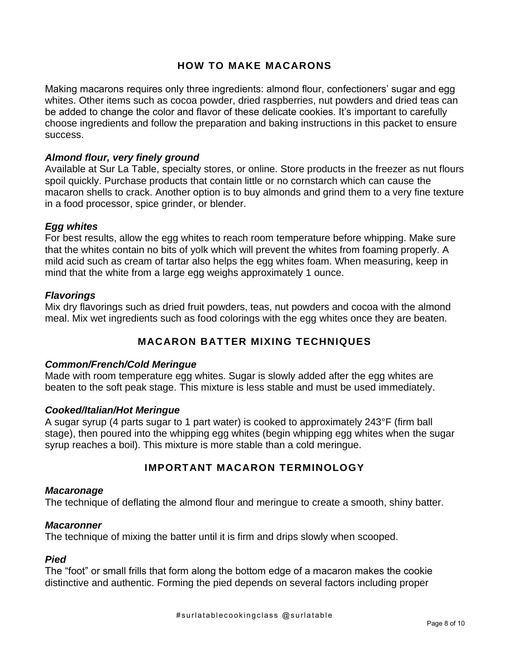#### **HOW TO MAKE MACARONS**

Making macarons requires only three ingredients: almond flour, confectioners' sugar and egg whites. Other items such as cocoa powder, dried raspberries, nut powders and dried teas can be added to change the color and flavor of these delicate cookies. It's important to carefully choose ingredients and follow the preparation and baking instructions in this packet to ensure success.

#### *Almond flour, very finely ground*

Available at Sur La Table, specialty stores, or online. Store products in the freezer as nut flours spoil quickly. Purchase products that contain little or no cornstarch which can cause the macaron shells to crack. Another option is to buy almonds and grind them to a very fine texture in a food processor, spice grinder, or blender.

#### *Egg whites*

For best results, allow the egg whites to reach room temperature before whipping. Make sure that the whites contain no bits of yolk which will prevent the whites from foaming properly. A mild acid such as cream of tartar also helps the egg whites foam. When measuring, keep in mind that the white from a large egg weighs approximately 1 ounce.

#### *Flavorings*

Mix dry flavorings such as dried fruit powders, teas, nut powders and cocoa with the almond meal. Mix wet ingredients such as food colorings with the egg whites once they are beaten.

#### **MACARON BATTER MIXING TECHNIQUES**

#### *Common/French/Cold Meringue*

Made with room temperature egg whites. Sugar is slowly added after the egg whites are beaten to the soft peak stage. This mixture is less stable and must be used immediately.

#### *Cooked/Italian/Hot Meringue*

A sugar syrup (4 parts sugar to 1 part water) is cooked to approximately 243°F (firm ball stage), then poured into the whipping egg whites (begin whipping egg whites when the sugar syrup reaches a boil). This mixture is more stable than a cold meringue.

#### **IMPORTANT MACARON TERMINOLOGY**

#### *Macaronage*

The technique of deflating the almond flour and meringue to create a smooth, shiny batter.

#### *Macaronner*

The technique of mixing the batter until it is firm and drips slowly when scooped.

#### *Pied*

The "foot" or small frills that form along the bottom edge of a macaron makes the cookie distinctive and authentic. Forming the pied depends on several factors including proper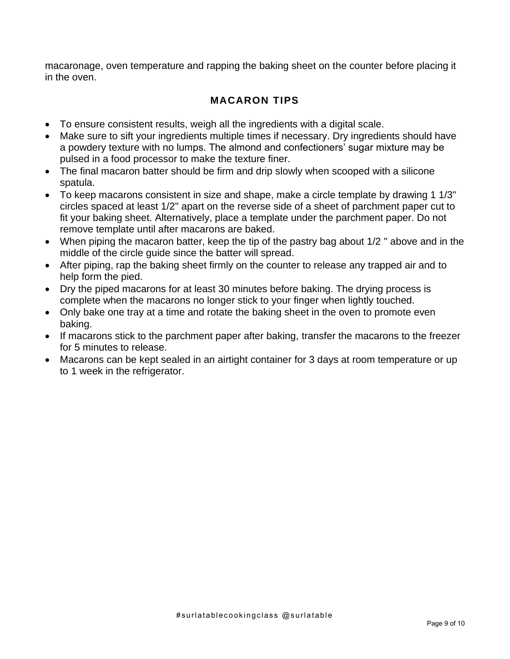macaronage, oven temperature and rapping the baking sheet on the counter before placing it in the oven.

# **MACARON TIPS**

- To ensure consistent results, weigh all the ingredients with a digital scale.
- Make sure to sift your ingredients multiple times if necessary. Dry ingredients should have a powdery texture with no lumps. The almond and confectioners' sugar mixture may be pulsed in a food processor to make the texture finer.
- The final macaron batter should be firm and drip slowly when scooped with a silicone spatula.
- To keep macarons consistent in size and shape, make a circle template by drawing 1 1/3" circles spaced at least 1/2" apart on the reverse side of a sheet of parchment paper cut to fit your baking sheet. Alternatively, place a template under the parchment paper. Do not remove template until after macarons are baked.
- When piping the macaron batter, keep the tip of the pastry bag about 1/2 " above and in the middle of the circle guide since the batter will spread.
- After piping, rap the baking sheet firmly on the counter to release any trapped air and to help form the pied.
- Dry the piped macarons for at least 30 minutes before baking. The drying process is complete when the macarons no longer stick to your finger when lightly touched.
- Only bake one tray at a time and rotate the baking sheet in the oven to promote even baking.
- If macarons stick to the parchment paper after baking, transfer the macarons to the freezer for 5 minutes to release.
- Macarons can be kept sealed in an airtight container for 3 days at room temperature or up to 1 week in the refrigerator.